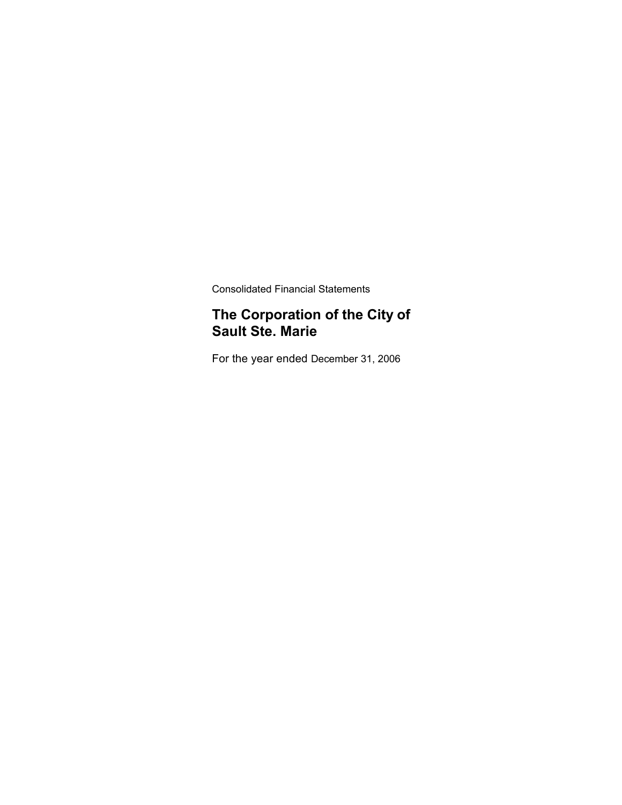Consolidated Financial Statements

### **The Corporation of the City of Sault Ste. Marie**

For the year ended December 31, 2006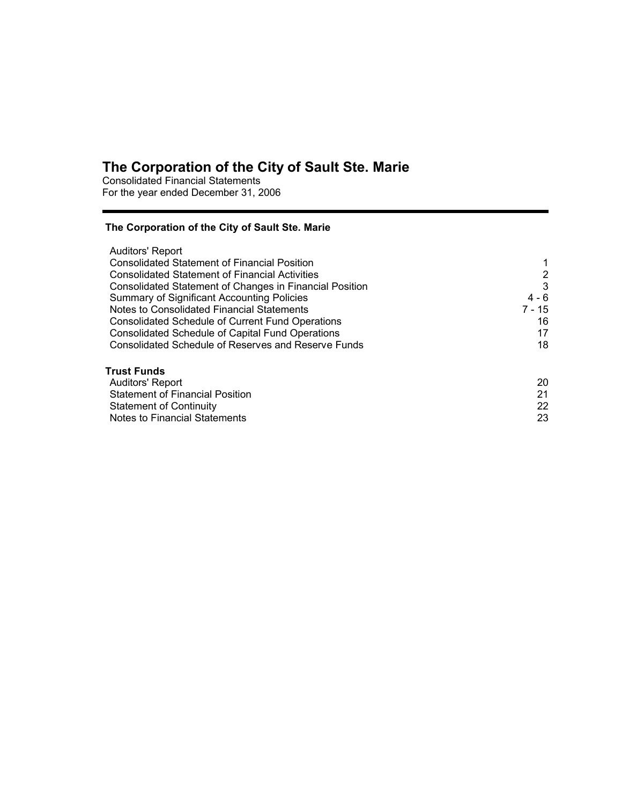Consolidated Financial Statements For the year ended December 31, 2006

### **The Corporation of the City of Sault Ste. Marie**

| Auditors' Report                                               |                |
|----------------------------------------------------------------|----------------|
| <b>Consolidated Statement of Financial Position</b>            |                |
| <b>Consolidated Statement of Financial Activities</b>          | $\overline{2}$ |
| <b>Consolidated Statement of Changes in Financial Position</b> | 3              |
| Summary of Significant Accounting Policies                     | $4 - 6$        |
| Notes to Consolidated Financial Statements                     | 7 - 15         |
| <b>Consolidated Schedule of Current Fund Operations</b>        | 16             |
| <b>Consolidated Schedule of Capital Fund Operations</b>        | 17             |
| Consolidated Schedule of Reserves and Reserve Funds            | 18             |
| Trust Funds                                                    |                |
| <b>Auditors' Report</b>                                        | 20             |
| <b>Statement of Financial Position</b>                         | 21             |
| <b>Statement of Continuity</b>                                 | 22             |
| <b>Notes to Financial Statements</b>                           | 23             |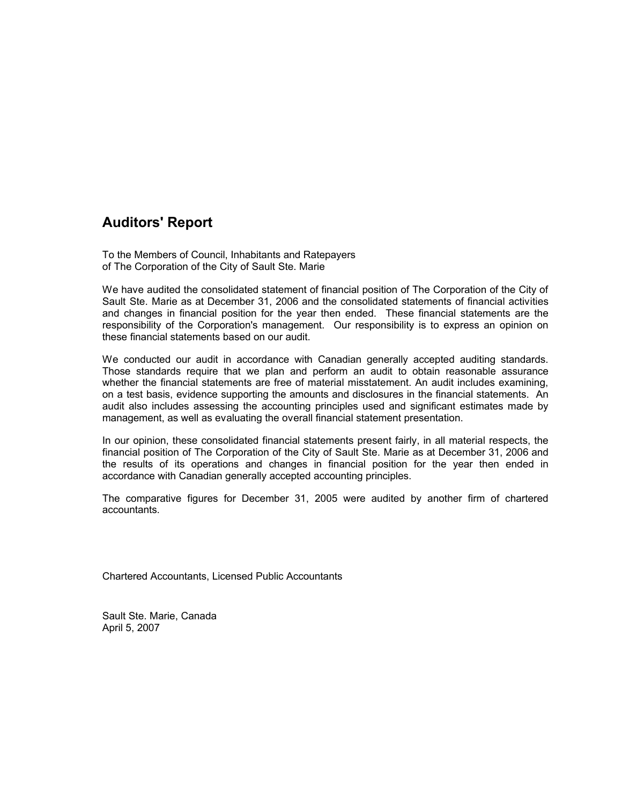### **Auditors' Report**

To the Members of Council, Inhabitants and Ratepayers of The Corporation of the City of Sault Ste. Marie

We have audited the consolidated statement of financial position of The Corporation of the City of Sault Ste. Marie as at December 31, 2006 and the consolidated statements of financial activities and changes in financial position for the year then ended. These financial statements are the responsibility of the Corporation's management. Our responsibility is to express an opinion on these financial statements based on our audit.

We conducted our audit in accordance with Canadian generally accepted auditing standards. Those standards require that we plan and perform an audit to obtain reasonable assurance whether the financial statements are free of material misstatement. An audit includes examining, on a test basis, evidence supporting the amounts and disclosures in the financial statements. An audit also includes assessing the accounting principles used and significant estimates made by management, as well as evaluating the overall financial statement presentation.

In our opinion, these consolidated financial statements present fairly, in all material respects, the financial position of The Corporation of the City of Sault Ste. Marie as at December 31, 2006 and the results of its operations and changes in financial position for the year then ended in accordance with Canadian generally accepted accounting principles.

The comparative figures for December 31, 2005 were audited by another firm of chartered accountants.

Chartered Accountants, Licensed Public Accountants

Sault Ste. Marie, Canada April 5, 2007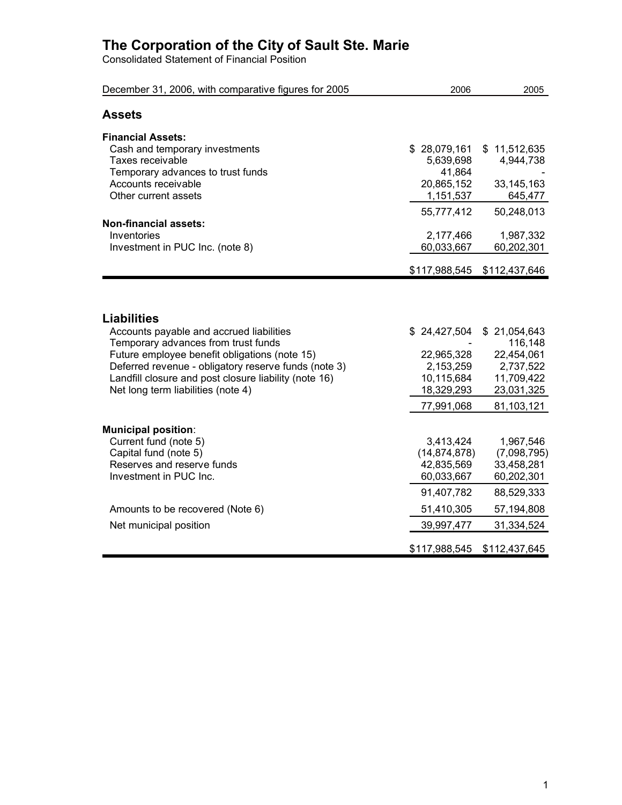Consolidated Statement of Financial Position

| December 31, 2006, with comparative figures for 2005                                                                                                                                                                                                                                                          | 2006                                                                                              | 2005                                                                                           |
|---------------------------------------------------------------------------------------------------------------------------------------------------------------------------------------------------------------------------------------------------------------------------------------------------------------|---------------------------------------------------------------------------------------------------|------------------------------------------------------------------------------------------------|
| <b>Assets</b>                                                                                                                                                                                                                                                                                                 |                                                                                                   |                                                                                                |
| <b>Financial Assets:</b><br>Cash and temporary investments<br>Taxes receivable<br>Temporary advances to trust funds<br>Accounts receivable<br>Other current assets                                                                                                                                            | \$28,079,161<br>5,639,698<br>41,864<br>20,865,152<br>1,151,537                                    | \$11,512,635<br>4,944,738<br>33, 145, 163<br>645,477                                           |
| <b>Non-financial assets:</b><br>Inventories<br>Investment in PUC Inc. (note 8)                                                                                                                                                                                                                                | 55,777,412<br>2,177,466<br>60,033,667<br>\$117,988,545                                            | 50,248,013<br>1,987,332<br>60,202,301<br>\$112,437,646                                         |
| <b>Liabilities</b><br>Accounts payable and accrued liabilities<br>Temporary advances from trust funds<br>Future employee benefit obligations (note 15)<br>Deferred revenue - obligatory reserve funds (note 3)<br>Landfill closure and post closure liability (note 16)<br>Net long term liabilities (note 4) | \$24,427,504<br>22,965,328<br>2,153,259<br>10,115,684<br>18,329,293                               | \$21,054,643<br>116,148<br>22,454,061<br>2,737,522<br>11,709,422<br>23,031,325                 |
| <b>Municipal position:</b><br>Current fund (note 5)<br>Capital fund (note 5)<br>Reserves and reserve funds<br>Investment in PUC Inc.<br>Amounts to be recovered (Note 6)                                                                                                                                      | 77,991,068<br>3,413,424<br>(14, 874, 878)<br>42,835,569<br>60,033,667<br>91,407,782<br>51,410,305 | 81,103,121<br>1,967,546<br>(7,098,795)<br>33,458,281<br>60,202,301<br>88,529,333<br>57,194,808 |
| Net municipal position                                                                                                                                                                                                                                                                                        | 39,997,477<br>\$117,988,545                                                                       | 31,334,524<br>\$112,437,645                                                                    |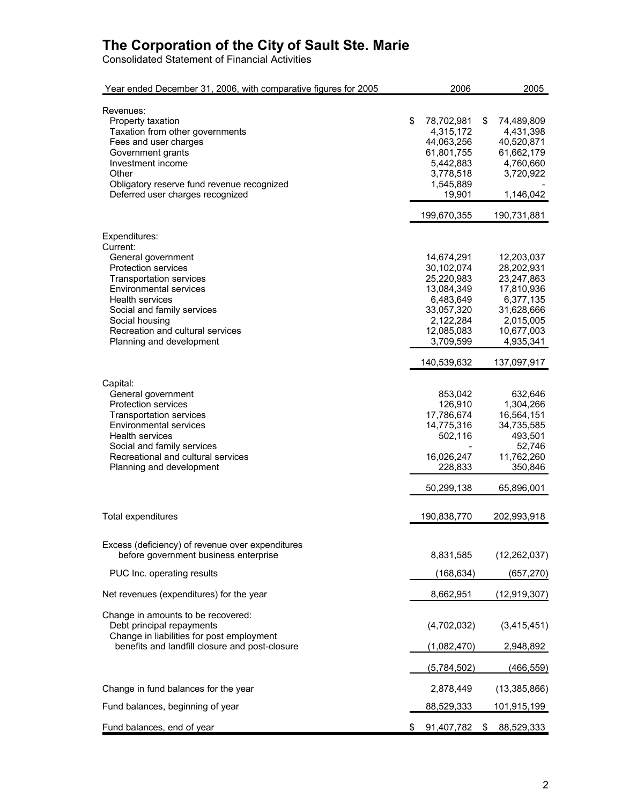Consolidated Statement of Financial Activities

| Year ended December 31, 2006, with comparative figures for 2005 | 2006                    |      | 2005               |
|-----------------------------------------------------------------|-------------------------|------|--------------------|
| Revenues:                                                       |                         |      |                    |
|                                                                 | \$                      | \$   |                    |
| Property taxation<br>Taxation from other governments            | 78,702,981<br>4,315,172 |      | 74,489,809         |
|                                                                 | 44,063,256              |      | 4,431,398          |
| Fees and user charges                                           | 61,801,755              |      | 40,520,871         |
| Government grants                                               |                         |      | 61,662,179         |
| Investment income                                               | 5,442,883               |      | 4,760,660          |
| Other                                                           | 3,778,518               |      | 3,720,922          |
| Obligatory reserve fund revenue recognized                      | 1,545,889               |      |                    |
| Deferred user charges recognized                                | 19,901                  |      | 1,146,042          |
|                                                                 | 199,670,355             |      | 190,731,881        |
| Expenditures:                                                   |                         |      |                    |
| Current:                                                        |                         |      |                    |
| General government                                              | 14,674,291              |      | 12,203,037         |
| <b>Protection services</b>                                      | 30,102,074              |      | 28,202,931         |
| <b>Transportation services</b>                                  | 25,220,983              |      | 23,247,863         |
| <b>Environmental services</b>                                   | 13,084,349              |      | 17,810,936         |
| Health services                                                 | 6,483,649               |      | 6,377,135          |
| Social and family services                                      | 33,057,320              |      | 31,628,666         |
| Social housing                                                  | 2,122,284               |      | 2,015,005          |
|                                                                 |                         |      | 10,677,003         |
| Recreation and cultural services                                | 12,085,083              |      |                    |
| Planning and development                                        | 3,709,599               |      | 4,935,341          |
|                                                                 | 140,539,632             |      | 137,097,917        |
| Capital:                                                        |                         |      |                    |
| General government                                              | 853,042                 |      | 632,646            |
| <b>Protection services</b>                                      | 126,910                 |      | 1,304,266          |
| <b>Transportation services</b>                                  | 17,786,674              |      | 16,564,151         |
| <b>Environmental services</b>                                   | 14,775,316              |      | 34,735,585         |
| Health services                                                 | 502,116                 |      | 493,501            |
| Social and family services                                      |                         |      | 52,746             |
| Recreational and cultural services                              | 16,026,247              |      | 11,762,260         |
| Planning and development                                        | 228,833                 |      | 350,846            |
|                                                                 |                         |      |                    |
|                                                                 | 50,299,138              |      | 65,896,001         |
| Total expenditures                                              | 190,838,770             |      | 202,993,918        |
|                                                                 |                         |      |                    |
| Excess (deficiency) of revenue over expenditures                |                         |      |                    |
| before government business enterprise                           | 8,831,585               |      | (12, 262, 037)     |
| PUC Inc. operating results                                      | (168, 634)              |      | (657, 270)         |
| Net revenues (expenditures) for the year                        | 8,662,951               |      | (12, 919, 307)     |
|                                                                 |                         |      |                    |
| Change in amounts to be recovered:                              |                         |      |                    |
| Debt principal repayments                                       | (4,702,032)             |      | (3,415,451)        |
| Change in liabilities for post employment                       |                         |      |                    |
| benefits and landfill closure and post-closure                  | (1,082,470)             |      | 2,948,892          |
|                                                                 | (5,784,502)             |      | (466, 559)         |
| Change in fund balances for the year                            | 2,878,449               |      | (13, 385, 866)     |
| Fund balances, beginning of year                                | 88,529,333              |      | <u>101,915,199</u> |
|                                                                 |                         |      |                    |
| Fund balances, end of year                                      | \$<br>91,407,782        | - \$ | 88,529,333         |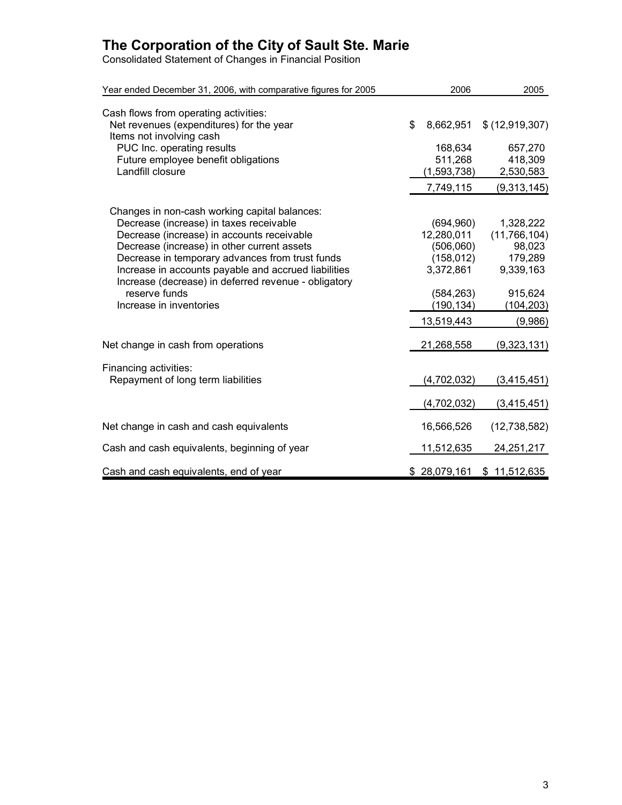Consolidated Statement of Changes in Financial Position

| Year ended December 31, 2006, with comparative figures for 2005                                                                                                                                                                                                                                                                                                                                      | 2006                                                                                                       | 2005                                                                                              |
|------------------------------------------------------------------------------------------------------------------------------------------------------------------------------------------------------------------------------------------------------------------------------------------------------------------------------------------------------------------------------------------------------|------------------------------------------------------------------------------------------------------------|---------------------------------------------------------------------------------------------------|
| Cash flows from operating activities:<br>Net revenues (expenditures) for the year                                                                                                                                                                                                                                                                                                                    | \$<br>8,662,951                                                                                            | \$ (12, 919, 307)                                                                                 |
| Items not involving cash<br>PUC Inc. operating results<br>Future employee benefit obligations<br>Landfill closure                                                                                                                                                                                                                                                                                    | 168,634<br>511,268<br>(1,593,738)                                                                          | 657,270<br>418,309<br>2,530,583                                                                   |
|                                                                                                                                                                                                                                                                                                                                                                                                      | 7,749,115                                                                                                  | (9,313,145)                                                                                       |
| Changes in non-cash working capital balances:<br>Decrease (increase) in taxes receivable<br>Decrease (increase) in accounts receivable<br>Decrease (increase) in other current assets<br>Decrease in temporary advances from trust funds<br>Increase in accounts payable and accrued liabilities<br>Increase (decrease) in deferred revenue - obligatory<br>reserve funds<br>Increase in inventories | (694, 960)<br>12,280,011<br>(506,060)<br>(158, 012)<br>3,372,861<br>(584, 263)<br>(190, 134)<br>13,519,443 | 1,328,222<br>(11, 766, 104)<br>98,023<br>179,289<br>9,339,163<br>915,624<br>(104, 203)<br>(9,986) |
| Net change in cash from operations                                                                                                                                                                                                                                                                                                                                                                   | 21,268,558                                                                                                 | (9,323,131)                                                                                       |
| Financing activities:<br>Repayment of long term liabilities                                                                                                                                                                                                                                                                                                                                          | (4,702,032)<br>(4,702,032)                                                                                 | (3, 415, 451)<br>(3, 415, 451)                                                                    |
| Net change in cash and cash equivalents                                                                                                                                                                                                                                                                                                                                                              | 16,566,526                                                                                                 | (12, 738, 582)                                                                                    |
| Cash and cash equivalents, beginning of year                                                                                                                                                                                                                                                                                                                                                         | 11,512,635                                                                                                 | 24,251,217                                                                                        |
| Cash and cash equivalents, end of year                                                                                                                                                                                                                                                                                                                                                               | \$28,079,161                                                                                               | \$11,512,635                                                                                      |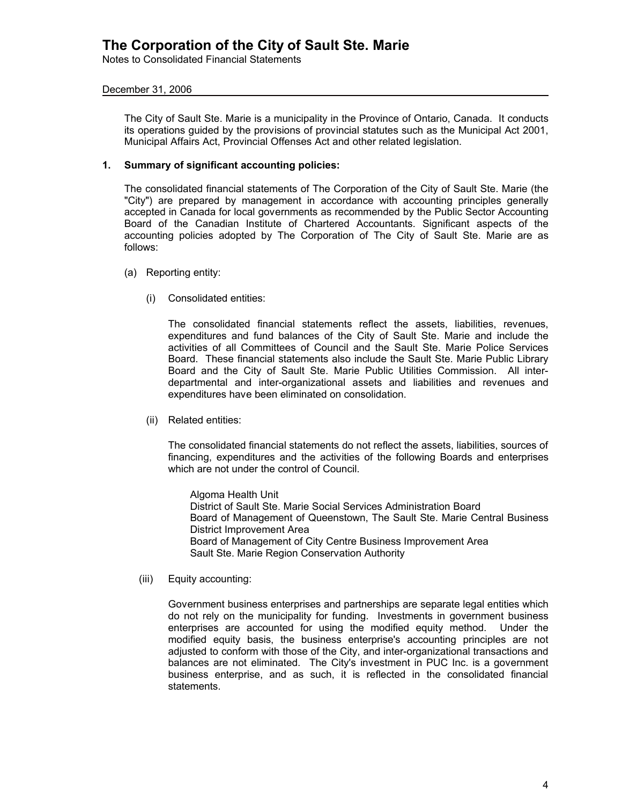Notes to Consolidated Financial Statements

### December 31, 2006

The City of Sault Ste. Marie is a municipality in the Province of Ontario, Canada. It conducts its operations guided by the provisions of provincial statutes such as the Municipal Act 2001, Municipal Affairs Act, Provincial Offenses Act and other related legislation.

### **1. Summary of significant accounting policies:**

The consolidated financial statements of The Corporation of the City of Sault Ste. Marie (the "City") are prepared by management in accordance with accounting principles generally accepted in Canada for local governments as recommended by the Public Sector Accounting Board of the Canadian Institute of Chartered Accountants. Significant aspects of the accounting policies adopted by The Corporation of The City of Sault Ste. Marie are as follows:

- (a) Reporting entity:
	- (i) Consolidated entities:

The consolidated financial statements reflect the assets, liabilities, revenues, expenditures and fund balances of the City of Sault Ste. Marie and include the activities of all Committees of Council and the Sault Ste. Marie Police Services Board. These financial statements also include the Sault Ste. Marie Public Library Board and the City of Sault Ste. Marie Public Utilities Commission. All interdepartmental and inter-organizational assets and liabilities and revenues and expenditures have been eliminated on consolidation.

(ii) Related entities:

The consolidated financial statements do not reflect the assets, liabilities, sources of financing, expenditures and the activities of the following Boards and enterprises which are not under the control of Council.

Algoma Health Unit District of Sault Ste. Marie Social Services Administration Board Board of Management of Queenstown, The Sault Ste. Marie Central Business District Improvement Area Board of Management of City Centre Business Improvement Area Sault Ste. Marie Region Conservation Authority

(iii) Equity accounting:

Government business enterprises and partnerships are separate legal entities which do not rely on the municipality for funding. Investments in government business enterprises are accounted for using the modified equity method. Under the modified equity basis, the business enterprise's accounting principles are not adjusted to conform with those of the City, and inter-organizational transactions and balances are not eliminated. The City's investment in PUC Inc. is a government business enterprise, and as such, it is reflected in the consolidated financial statements.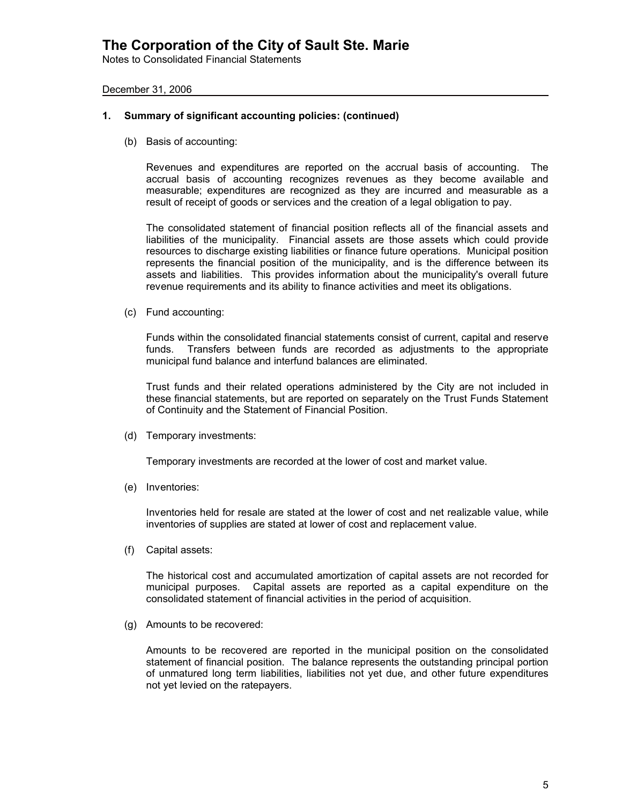Notes to Consolidated Financial Statements

December 31, 2006

#### **1. Summary of significant accounting policies: (continued)**

(b) Basis of accounting:

Revenues and expenditures are reported on the accrual basis of accounting. The accrual basis of accounting recognizes revenues as they become available and measurable; expenditures are recognized as they are incurred and measurable as a result of receipt of goods or services and the creation of a legal obligation to pay.

The consolidated statement of financial position reflects all of the financial assets and liabilities of the municipality. Financial assets are those assets which could provide resources to discharge existing liabilities or finance future operations. Municipal position represents the financial position of the municipality, and is the difference between its assets and liabilities. This provides information about the municipality's overall future revenue requirements and its ability to finance activities and meet its obligations.

(c) Fund accounting:

Funds within the consolidated financial statements consist of current, capital and reserve funds. Transfers between funds are recorded as adjustments to the appropriate municipal fund balance and interfund balances are eliminated.

Trust funds and their related operations administered by the City are not included in these financial statements, but are reported on separately on the Trust Funds Statement of Continuity and the Statement of Financial Position.

(d) Temporary investments:

Temporary investments are recorded at the lower of cost and market value.

(e) Inventories:

Inventories held for resale are stated at the lower of cost and net realizable value, while inventories of supplies are stated at lower of cost and replacement value.

(f) Capital assets:

The historical cost and accumulated amortization of capital assets are not recorded for municipal purposes. Capital assets are reported as a capital expenditure on the consolidated statement of financial activities in the period of acquisition.

(g) Amounts to be recovered:

Amounts to be recovered are reported in the municipal position on the consolidated statement of financial position. The balance represents the outstanding principal portion of unmatured long term liabilities, liabilities not yet due, and other future expenditures not yet levied on the ratepayers.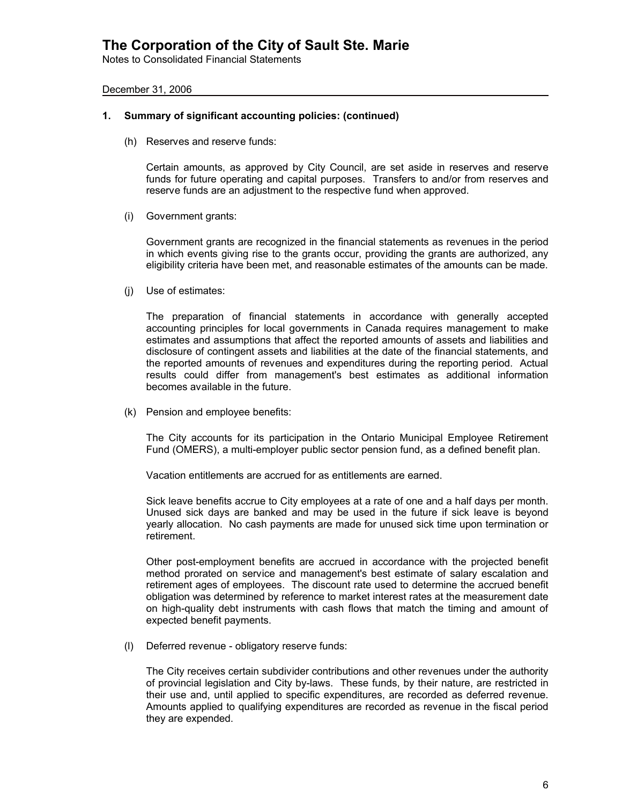Notes to Consolidated Financial Statements

December 31, 2006

#### **1. Summary of significant accounting policies: (continued)**

(h) Reserves and reserve funds:

Certain amounts, as approved by City Council, are set aside in reserves and reserve funds for future operating and capital purposes. Transfers to and/or from reserves and reserve funds are an adjustment to the respective fund when approved.

(i) Government grants:

Government grants are recognized in the financial statements as revenues in the period in which events giving rise to the grants occur, providing the grants are authorized, any eligibility criteria have been met, and reasonable estimates of the amounts can be made.

(j) Use of estimates:

The preparation of financial statements in accordance with generally accepted accounting principles for local governments in Canada requires management to make estimates and assumptions that affect the reported amounts of assets and liabilities and disclosure of contingent assets and liabilities at the date of the financial statements, and the reported amounts of revenues and expenditures during the reporting period. Actual results could differ from management's best estimates as additional information becomes available in the future.

(k) Pension and employee benefits:

The City accounts for its participation in the Ontario Municipal Employee Retirement Fund (OMERS), a multi-employer public sector pension fund, as a defined benefit plan.

Vacation entitlements are accrued for as entitlements are earned.

Sick leave benefits accrue to City employees at a rate of one and a half days per month. Unused sick days are banked and may be used in the future if sick leave is beyond yearly allocation. No cash payments are made for unused sick time upon termination or retirement.

Other post-employment benefits are accrued in accordance with the projected benefit method prorated on service and management's best estimate of salary escalation and retirement ages of employees. The discount rate used to determine the accrued benefit obligation was determined by reference to market interest rates at the measurement date on high-quality debt instruments with cash flows that match the timing and amount of expected benefit payments.

(l) Deferred revenue - obligatory reserve funds:

The City receives certain subdivider contributions and other revenues under the authority of provincial legislation and City by-laws. These funds, by their nature, are restricted in their use and, until applied to specific expenditures, are recorded as deferred revenue. Amounts applied to qualifying expenditures are recorded as revenue in the fiscal period they are expended.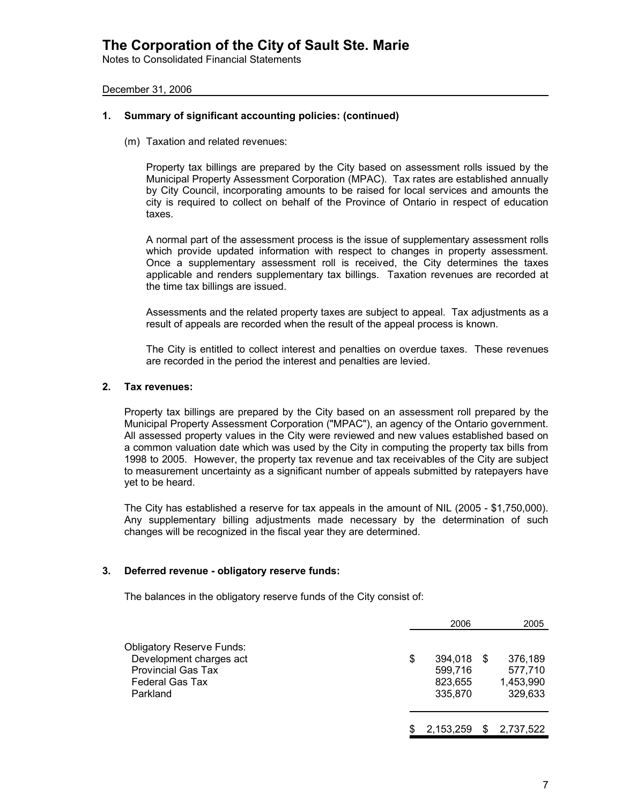Notes to Consolidated Financial Statements

### December 31, 2006

#### **1. Summary of significant accounting policies: (continued)**

(m) Taxation and related revenues:

Property tax billings are prepared by the City based on assessment rolls issued by the Municipal Property Assessment Corporation (MPAC). Tax rates are established annually by City Council, incorporating amounts to be raised for local services and amounts the city is required to collect on behalf of the Province of Ontario in respect of education taxes.

A normal part of the assessment process is the issue of supplementary assessment rolls which provide updated information with respect to changes in property assessment. Once a supplementary assessment roll is received, the City determines the taxes applicable and renders supplementary tax billings. Taxation revenues are recorded at the time tax billings are issued.

Assessments and the related property taxes are subject to appeal. Tax adjustments as a result of appeals are recorded when the result of the appeal process is known.

The City is entitled to collect interest and penalties on overdue taxes. These revenues are recorded in the period the interest and penalties are levied.

#### **2. Tax revenues:**

Property tax billings are prepared by the City based on an assessment roll prepared by the Municipal Property Assessment Corporation ("MPAC"), an agency of the Ontario government. All assessed property values in the City were reviewed and new values established based on a common valuation date which was used by the City in computing the property tax bills from 1998 to 2005. However, the property tax revenue and tax receivables of the City are subject to measurement uncertainty as a significant number of appeals submitted by ratepayers have yet to be heard.

The City has established a reserve for tax appeals in the amount of NIL (2005 - \$1,750,000). Any supplementary billing adjustments made necessary by the determination of such changes will be recognized in the fiscal year they are determined.

#### **3. Deferred revenue - obligatory reserve funds:**

The balances in the obligatory reserve funds of the City consist of:

|                                                                                                                                |    | 2006                                     |     | 2005                                       |
|--------------------------------------------------------------------------------------------------------------------------------|----|------------------------------------------|-----|--------------------------------------------|
| <b>Obligatory Reserve Funds:</b><br>Development charges act<br><b>Provincial Gas Tax</b><br><b>Federal Gas Tax</b><br>Parkland | \$ | 394,018<br>599,716<br>823,655<br>335,870 | \$. | 376,189<br>577,710<br>1,453,990<br>329,633 |
|                                                                                                                                | S  | 2,153,259                                |     | 2,737,522                                  |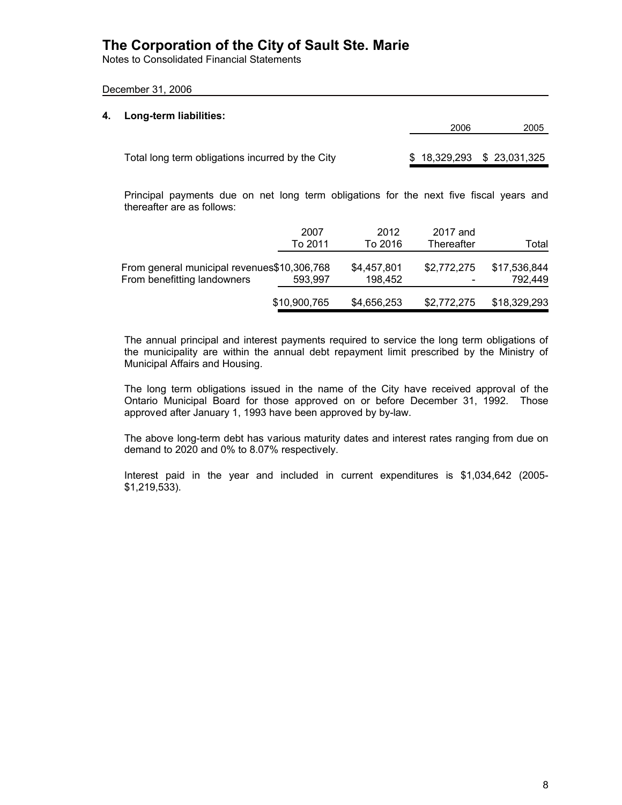Notes to Consolidated Financial Statements

### December 31, 2006

| 4. | Long-term liabilities:                           | 2006                      | 2005 |
|----|--------------------------------------------------|---------------------------|------|
|    | Total long term obligations incurred by the City | \$18,329,293 \$23,031,325 |      |

Principal payments due on net long term obligations for the next five fiscal years and thereafter are as follows:

|                                                                            | 2007<br>To 2011 | 2012<br>To 2016        | 2017 and<br>Thereafter                  | Total                   |
|----------------------------------------------------------------------------|-----------------|------------------------|-----------------------------------------|-------------------------|
| From general municipal revenues\$10,306,768<br>From benefitting landowners | 593,997         | \$4,457,801<br>198,452 | \$2,772,275<br>$\overline{\phantom{0}}$ | \$17,536,844<br>792,449 |
|                                                                            | \$10,900,765    | \$4,656,253            | \$2,772,275                             | \$18,329,293            |

The annual principal and interest payments required to service the long term obligations of the municipality are within the annual debt repayment limit prescribed by the Ministry of Municipal Affairs and Housing.

The long term obligations issued in the name of the City have received approval of the Ontario Municipal Board for those approved on or before December 31, 1992. Those approved after January 1, 1993 have been approved by by-law.

The above long-term debt has various maturity dates and interest rates ranging from due on demand to 2020 and 0% to 8.07% respectively.

Interest paid in the year and included in current expenditures is \$1,034,642 (2005- \$1,219,533).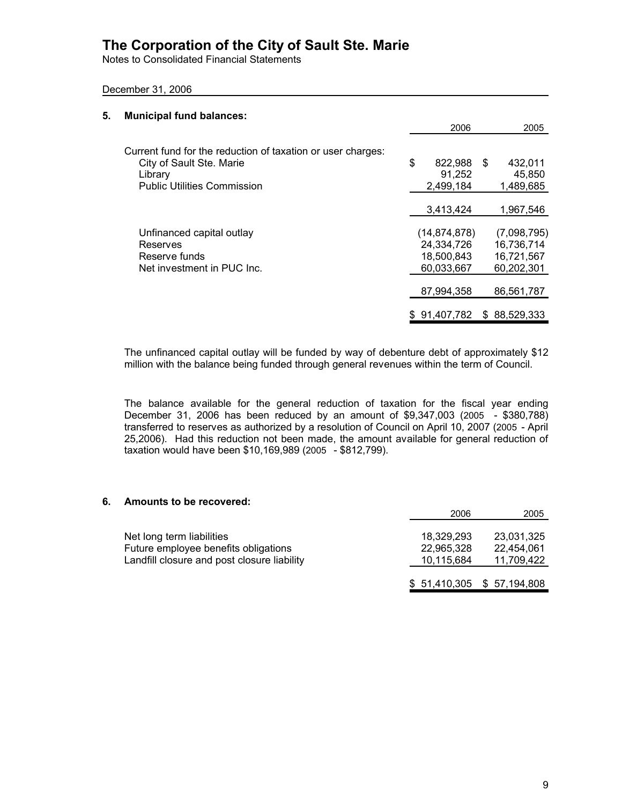Notes to Consolidated Financial Statements

December 31, 2006

| 5. | <b>Municipal fund balances:</b>                             |                |      |              |
|----|-------------------------------------------------------------|----------------|------|--------------|
|    |                                                             | 2006           |      | 2005         |
|    | Current fund for the reduction of taxation or user charges: |                |      |              |
|    | City of Sault Ste. Marie                                    | \$<br>822,988  | - \$ | 432,011      |
|    | Library                                                     | 91,252         |      | 45,850       |
|    | <b>Public Utilities Commission</b>                          | 2,499,184      |      | 1,489,685    |
|    |                                                             | 3,413,424      |      | 1.967.546    |
|    | Unfinanced capital outlay                                   | (14, 874, 878) |      | (7,098,795)  |
|    | Reserves                                                    | 24,334,726     |      | 16,736,714   |
|    | Reserve funds                                               | 18,500,843     |      | 16,721,567   |
|    | Net investment in PUC Inc.                                  | 60,033,667     |      | 60,202,301   |
|    |                                                             | 87,994,358     |      | 86,561,787   |
|    |                                                             | \$91,407,782   |      | \$88,529,333 |
|    |                                                             |                |      |              |

The unfinanced capital outlay will be funded by way of debenture debt of approximately \$12 million with the balance being funded through general revenues within the term of Council.

The balance available for the general reduction of taxation for the fiscal year ending December 31, 2006 has been reduced by an amount of \$9,347,003 (2005 - \$380,788) transferred to reserves as authorized by a resolution of Council on April 10, 2007 (2005 - April 25,2006). Had this reduction not been made, the amount available for general reduction of taxation would have been \$10,169,989 (2005 - \$812,799).

#### **6. Amounts to be recovered:**

|                                                                                                                  | 2006                                   | 2005                                   |
|------------------------------------------------------------------------------------------------------------------|----------------------------------------|----------------------------------------|
| Net long term liabilities<br>Future employee benefits obligations<br>Landfill closure and post closure liability | 18,329,293<br>22,965,328<br>10,115,684 | 23,031,325<br>22,454,061<br>11,709,422 |
|                                                                                                                  |                                        | $$51,410,305$ $$57,194,808$            |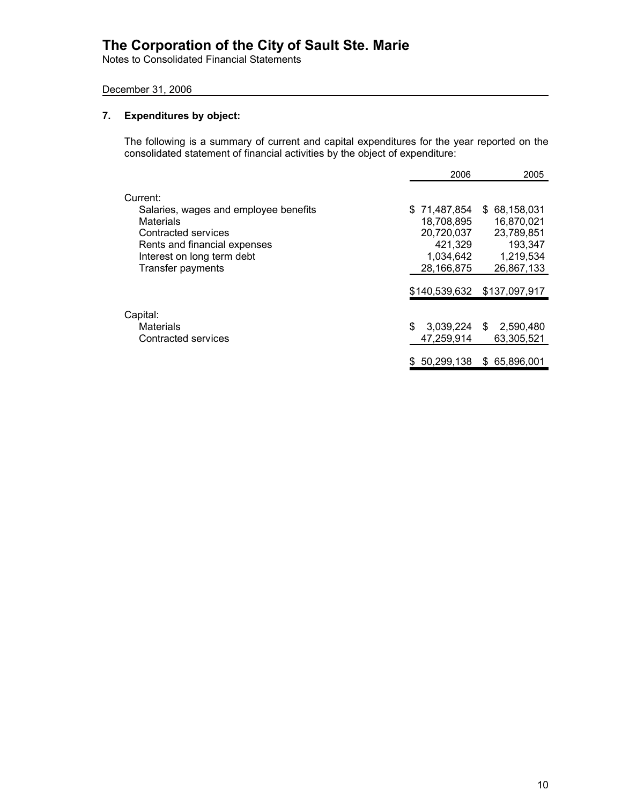Notes to Consolidated Financial Statements

### December 31, 2006

### **7. Expenditures by object:**

The following is a summary of current and capital expenditures for the year reported on the consolidated statement of financial activities by the object of expenditure:

|                                       | 2006            | 2005              |
|---------------------------------------|-----------------|-------------------|
| Current:                              |                 |                   |
| Salaries, wages and employee benefits | \$71,487,854    | \$ 68,158,031     |
| Materials                             | 18.708.895      | 16.870.021        |
| Contracted services                   | 20,720,037      | 23,789,851        |
| Rents and financial expenses          | 421,329         | 193,347           |
| Interest on long term debt            | 1,034,642       | 1,219,534         |
| Transfer payments                     | 28,166,875      | 26,867,133        |
|                                       | \$140,539,632   | \$137,097,917     |
| Capital:                              |                 |                   |
| <b>Materials</b>                      | \$<br>3,039,224 | 2,590,480<br>- SS |
| Contracted services                   | 47,259,914      | 63.305.521        |
|                                       | \$50.299.138    | \$65,896,001      |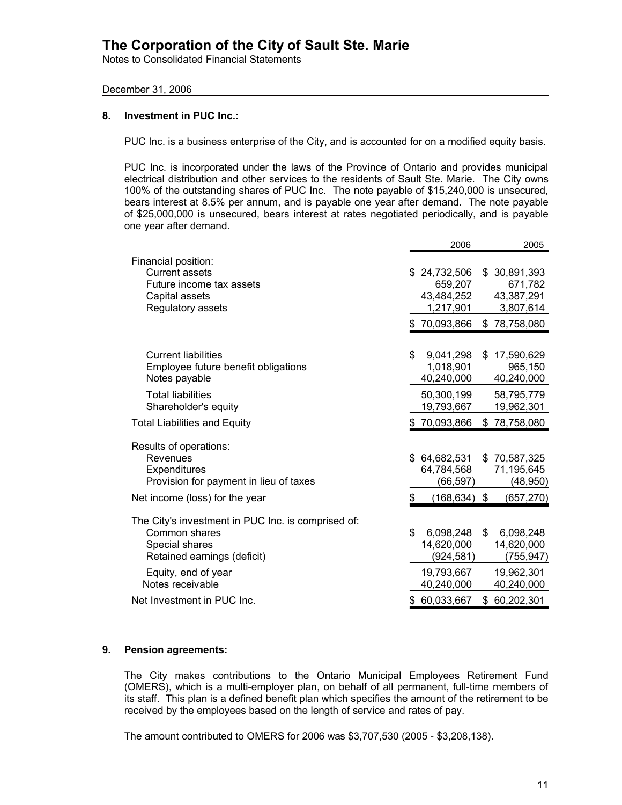Notes to Consolidated Financial Statements

### December 31, 2006

### **8. Investment in PUC Inc.:**

PUC Inc. is a business enterprise of the City, and is accounted for on a modified equity basis.

PUC Inc. is incorporated under the laws of the Province of Ontario and provides municipal electrical distribution and other services to the residents of Sault Ste. Marie. The City owns 100% of the outstanding shares of PUC Inc. The note payable of \$15,240,000 is unsecured, bears interest at 8.5% per annum, and is payable one year after demand. The note payable of \$25,000,000 is unsecured, bears interest at rates negotiated periodically, and is payable one year after demand.

|                                                      |    | 2006                    |    | 2005                  |
|------------------------------------------------------|----|-------------------------|----|-----------------------|
| Financial position:                                  |    |                         |    |                       |
| <b>Current assets</b>                                | S. | 24,732,506              | \$ | 30,891,393            |
| Future income tax assets                             |    | 659,207                 |    | 671,782               |
| Capital assets                                       |    | 43,484,252              |    | 43,387,291            |
| Regulatory assets                                    |    | 1,217,901               |    | 3,807,614             |
|                                                      |    | \$70,093,866            | \$ | 78,758,080            |
|                                                      |    |                         |    |                       |
| <b>Current liabilities</b>                           | \$ | 9,041,298               | S  | 17,590,629            |
| Employee future benefit obligations<br>Notes payable |    | 1,018,901<br>40,240,000 |    | 965,150<br>40,240,000 |
| <b>Total liabilities</b>                             |    | 50,300,199              |    | 58,795,779            |
| Shareholder's equity                                 |    | 19,793,667              |    | 19,962,301            |
| <b>Total Liabilities and Equity</b>                  |    | \$70,093,866            | \$ | 78,758,080            |
| Results of operations:                               |    |                         |    |                       |
| Revenues                                             |    | \$64,682,531            |    | \$70,587,325          |
| Expenditures                                         |    | 64,784,568              |    | 71,195,645            |
| Provision for payment in lieu of taxes               |    | (66,597)                |    | (48,950)              |
| Net income (loss) for the year                       | \$ | $(168, 634)$ \$         |    | (657, 270)            |
| The City's investment in PUC Inc. is comprised of:   |    |                         |    |                       |
| Common shares                                        | \$ | 6,098,248               | \$ | 6,098,248             |
| Special shares                                       |    | 14,620,000              |    | 14,620,000            |
| Retained earnings (deficit)                          |    | (924,581)               |    | (755,947)             |
| Equity, end of year                                  |    | 19,793,667              |    | 19,962,301            |
|                                                      |    | 40,240,000              |    | 40,240,000            |
| Notes receivable                                     |    |                         |    |                       |
| Net Investment in PUC Inc.                           |    | 60,033,667              | \$ | 60,202,301            |

### **9. Pension agreements:**

The City makes contributions to the Ontario Municipal Employees Retirement Fund (OMERS), which is a multi-employer plan, on behalf of all permanent, full-time members of its staff. This plan is a defined benefit plan which specifies the amount of the retirement to be received by the employees based on the length of service and rates of pay.

The amount contributed to OMERS for 2006 was \$3,707,530 (2005 - \$3,208,138).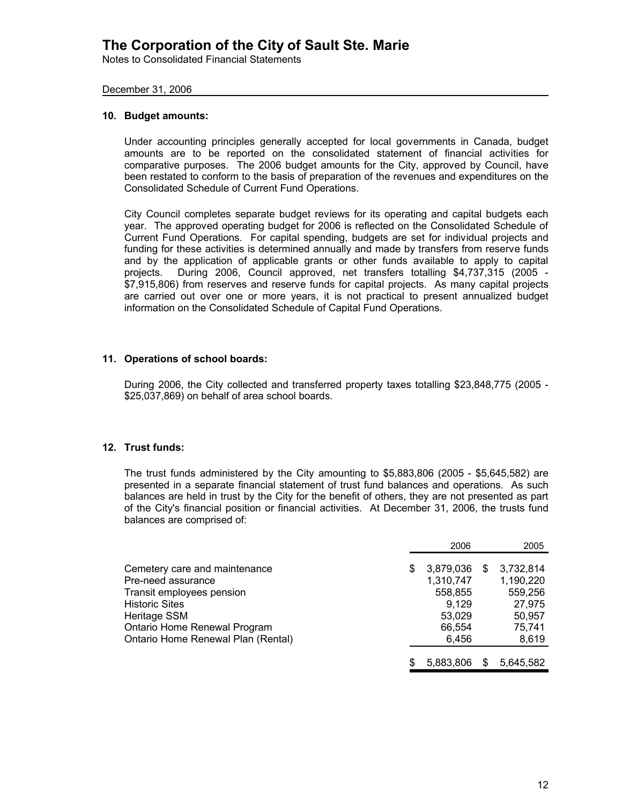Notes to Consolidated Financial Statements

### December 31, 2006

### **10. Budget amounts:**

Under accounting principles generally accepted for local governments in Canada, budget amounts are to be reported on the consolidated statement of financial activities for comparative purposes. The 2006 budget amounts for the City, approved by Council, have been restated to conform to the basis of preparation of the revenues and expenditures on the Consolidated Schedule of Current Fund Operations.

City Council completes separate budget reviews for its operating and capital budgets each year. The approved operating budget for 2006 is reflected on the Consolidated Schedule of Current Fund Operations. For capital spending, budgets are set for individual projects and funding for these activities is determined annually and made by transfers from reserve funds and by the application of applicable grants or other funds available to apply to capital projects. During 2006, Council approved, net transfers totalling \$4,737,315 (2005 - \$7,915,806) from reserves and reserve funds for capital projects. As many capital projects are carried out over one or more years, it is not practical to present annualized budget information on the Consolidated Schedule of Capital Fund Operations.

### **11. Operations of school boards:**

During 2006, the City collected and transferred property taxes totalling \$23,848,775 (2005 - \$25,037,869) on behalf of area school boards.

### **12. Trust funds:**

The trust funds administered by the City amounting to \$5,883,806 (2005 - \$5,645,582) are presented in a separate financial statement of trust fund balances and operations. As such balances are held in trust by the City for the benefit of others, they are not presented as part of the City's financial position or financial activities. At December 31, 2006, the trusts fund balances are comprised of:

|                                    |    | 2006      |   | 2005      |
|------------------------------------|----|-----------|---|-----------|
| Cemetery care and maintenance      | \$ | 3,879,036 | S | 3,732,814 |
| Pre-need assurance                 |    | 1,310,747 |   | 1,190,220 |
| Transit employees pension          |    | 558,855   |   | 559,256   |
| <b>Historic Sites</b>              |    | 9.129     |   | 27,975    |
| Heritage SSM                       |    | 53,029    |   | 50,957    |
| Ontario Home Renewal Program       |    | 66,554    |   | 75,741    |
| Ontario Home Renewal Plan (Rental) |    | 6.456     |   | 8,619     |
|                                    |    |           |   |           |
|                                    | S  | 5.883.806 |   | 5,645,582 |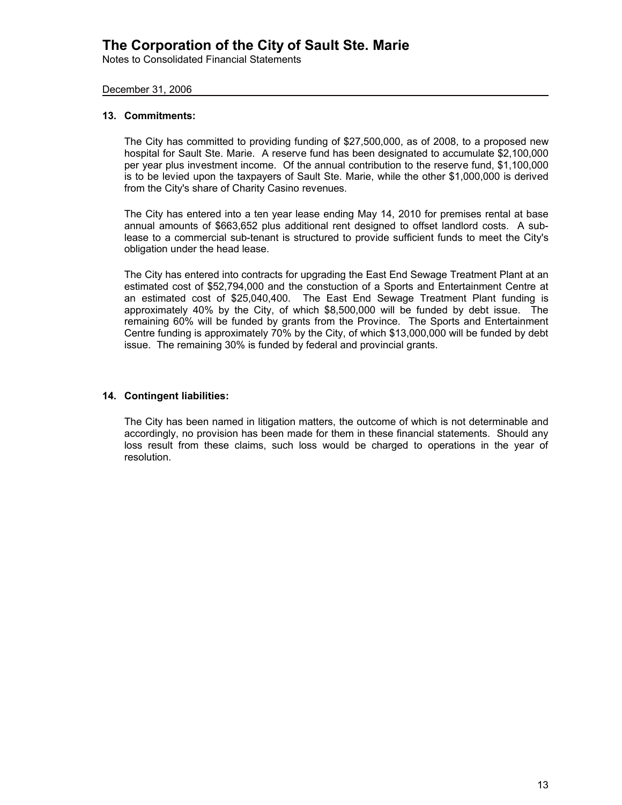Notes to Consolidated Financial Statements

### December 31, 2006

### **13. Commitments:**

The City has committed to providing funding of \$27,500,000, as of 2008, to a proposed new hospital for Sault Ste. Marie. A reserve fund has been designated to accumulate \$2,100,000 per year plus investment income. Of the annual contribution to the reserve fund, \$1,100,000 is to be levied upon the taxpayers of Sault Ste. Marie, while the other \$1,000,000 is derived from the City's share of Charity Casino revenues.

The City has entered into a ten year lease ending May 14, 2010 for premises rental at base annual amounts of \$663,652 plus additional rent designed to offset landlord costs. A sublease to a commercial sub-tenant is structured to provide sufficient funds to meet the City's obligation under the head lease.

The City has entered into contracts for upgrading the East End Sewage Treatment Plant at an estimated cost of \$52,794,000 and the constuction of a Sports and Entertainment Centre at an estimated cost of \$25,040,400. The East End Sewage Treatment Plant funding is approximately 40% by the City, of which \$8,500,000 will be funded by debt issue. The remaining 60% will be funded by grants from the Province. The Sports and Entertainment Centre funding is approximately 70% by the City, of which \$13,000,000 will be funded by debt issue. The remaining 30% is funded by federal and provincial grants.

### **14. Contingent liabilities:**

The City has been named in litigation matters, the outcome of which is not determinable and accordingly, no provision has been made for them in these financial statements. Should any loss result from these claims, such loss would be charged to operations in the year of resolution.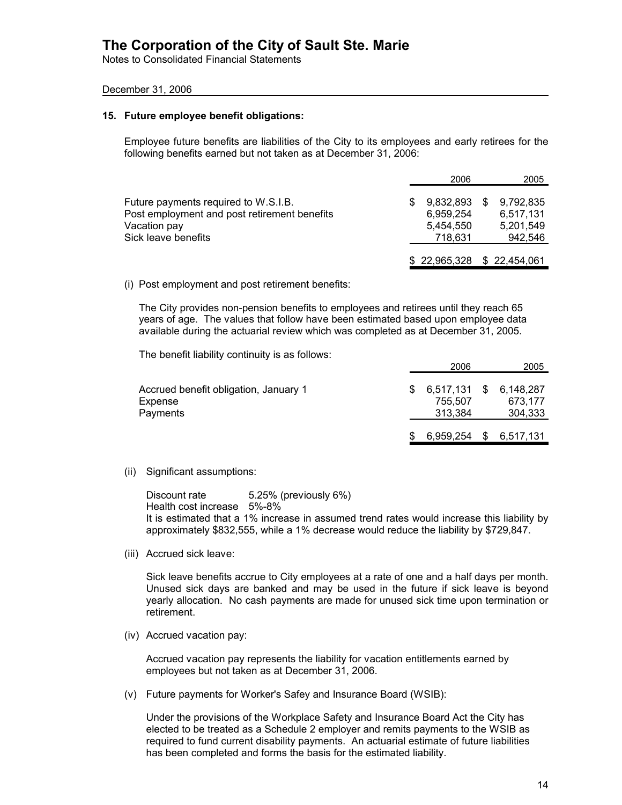Notes to Consolidated Financial Statements

### December 31, 2006

#### **15. Future employee benefit obligations:**

Employee future benefits are liabilities of the City to its employees and early retirees for the following benefits earned but not taken as at December 31, 2006:

|                                                                                                                             | 2006                                           |   | 2005                                           |
|-----------------------------------------------------------------------------------------------------------------------------|------------------------------------------------|---|------------------------------------------------|
| Future payments required to W.S.I.B.<br>Post employment and post retirement benefits<br>Vacation pay<br>Sick leave benefits | 9,832,893<br>6.959.254<br>5.454.550<br>718.631 | S | 9,792,835<br>6,517,131<br>5.201.549<br>942.546 |
|                                                                                                                             | \$22,965,328 \$22,454,061                      |   |                                                |

(i) Post employment and post retirement benefits:

The City provides non-pension benefits to employees and retirees until they reach 65 years of age. The values that follow have been estimated based upon employee data available during the actuarial review which was completed as at December 31, 2005.

The benefit liability continuity is as follows:

|                                                              | 2006                            |    | 2005                            |
|--------------------------------------------------------------|---------------------------------|----|---------------------------------|
| Accrued benefit obligation, January 1<br>Expense<br>Payments | 6,517,131<br>755.507<br>313.384 | S. | 6,148,287<br>673.177<br>304,333 |
|                                                              | 6,959,254                       |    | \$ 6,517,131                    |

(ii) Significant assumptions:

Discount rate 5.25% (previously 6%) Health cost increase 5%-8% It is estimated that a 1% increase in assumed trend rates would increase this liability by approximately \$832,555, while a 1% decrease would reduce the liability by \$729,847.

(iii) Accrued sick leave:

Sick leave benefits accrue to City employees at a rate of one and a half days per month. Unused sick days are banked and may be used in the future if sick leave is beyond yearly allocation. No cash payments are made for unused sick time upon termination or retirement.

(iv) Accrued vacation pay:

Accrued vacation pay represents the liability for vacation entitlements earned by employees but not taken as at December 31, 2006.

(v) Future payments for Worker's Safey and Insurance Board (WSIB):

Under the provisions of the Workplace Safety and Insurance Board Act the City has elected to be treated as a Schedule 2 employer and remits payments to the WSIB as required to fund current disability payments. An actuarial estimate of future liabilities has been completed and forms the basis for the estimated liability.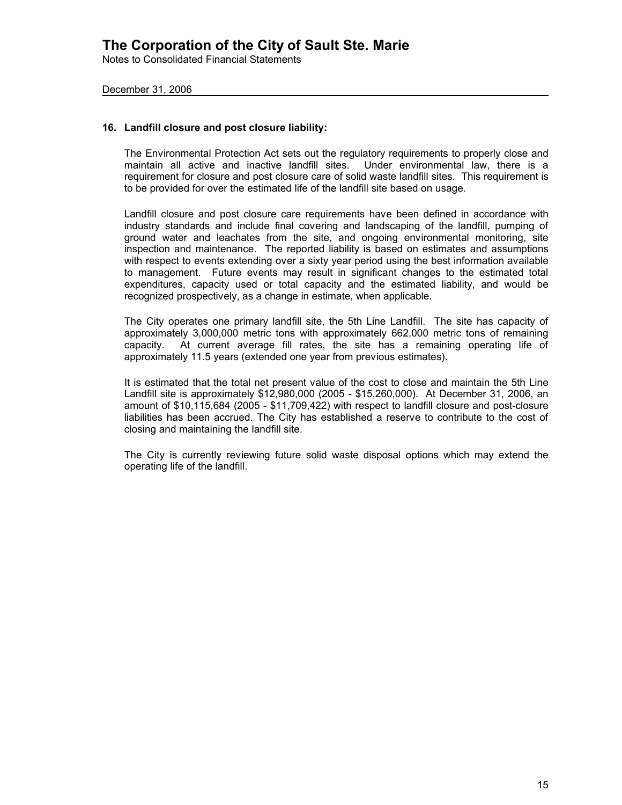Notes to Consolidated Financial Statements

December 31, 2006

### **16. Landfill closure and post closure liability:**

The Environmental Protection Act sets out the regulatory requirements to properly close and maintain all active and inactive landfill sites. Under environmental law, there is a requirement for closure and post closure care of solid waste landfill sites. This requirement is to be provided for over the estimated life of the landfill site based on usage.

Landfill closure and post closure care requirements have been defined in accordance with industry standards and include final covering and landscaping of the landfill, pumping of ground water and leachates from the site, and ongoing environmental monitoring, site inspection and maintenance. The reported liability is based on estimates and assumptions with respect to events extending over a sixty year period using the best information available to management. Future events may result in significant changes to the estimated total expenditures, capacity used or total capacity and the estimated liability, and would be recognized prospectively, as a change in estimate, when applicable.

The City operates one primary landfill site, the 5th Line Landfill. The site has capacity of approximately 3,000,000 metric tons with approximately 662,000 metric tons of remaining capacity. At current average fill rates, the site has a remaining operating life of approximately 11.5 years (extended one year from previous estimates).

It is estimated that the total net present value of the cost to close and maintain the 5th Line Landfill site is approximately \$12,980,000 (2005 - \$15,260,000). At December 31, 2006, an amount of \$10,115,684 (2005 - \$11,709,422) with respect to landfill closure and post-closure liabilities has been accrued. The City has established a reserve to contribute to the cost of closing and maintaining the landfill site.

The City is currently reviewing future solid waste disposal options which may extend the operating life of the landfill.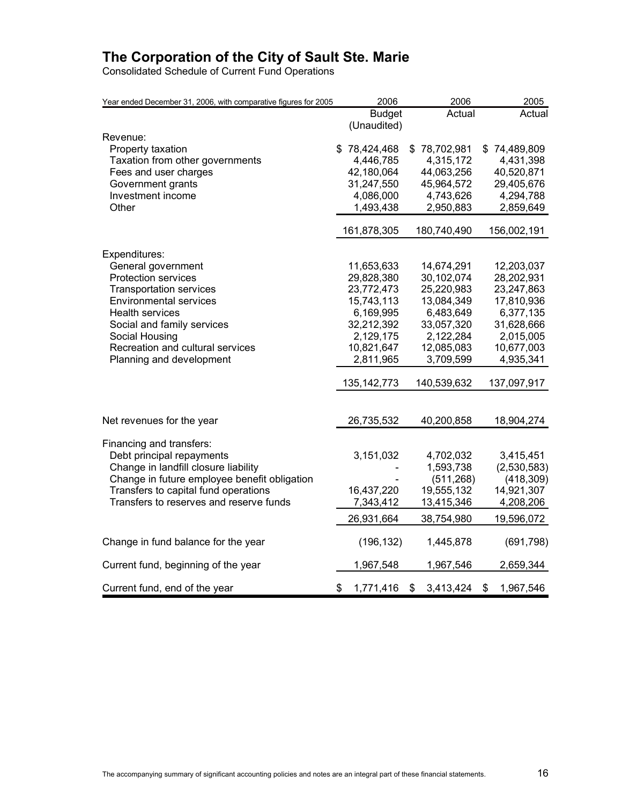Consolidated Schedule of Current Fund Operations

| Year ended December 31, 2006, with comparative figures for 2005 | 2006            | 2006            | 2005            |
|-----------------------------------------------------------------|-----------------|-----------------|-----------------|
|                                                                 | <b>Budget</b>   | Actual          | Actual          |
|                                                                 | (Unaudited)     |                 |                 |
| Revenue:                                                        |                 |                 |                 |
| Property taxation                                               | \$78,424,468    | \$78,702,981    | \$74,489,809    |
| Taxation from other governments                                 | 4,446,785       | 4,315,172       | 4,431,398       |
| Fees and user charges                                           | 42,180,064      | 44,063,256      | 40,520,871      |
| Government grants                                               | 31,247,550      | 45,964,572      | 29,405,676      |
| Investment income                                               | 4,086,000       | 4,743,626       | 4,294,788       |
| Other                                                           | 1,493,438       | 2,950,883       | 2,859,649       |
|                                                                 | 161,878,305     | 180,740,490     | 156,002,191     |
| Expenditures:                                                   |                 |                 |                 |
| General government                                              | 11,653,633      | 14,674,291      | 12,203,037      |
| <b>Protection services</b>                                      | 29,828,380      | 30,102,074      | 28,202,931      |
| <b>Transportation services</b>                                  | 23,772,473      | 25,220,983      | 23,247,863      |
| <b>Environmental services</b>                                   | 15,743,113      | 13,084,349      | 17,810,936      |
| Health services                                                 | 6,169,995       | 6,483,649       | 6,377,135       |
| Social and family services                                      | 32,212,392      | 33,057,320      | 31,628,666      |
| Social Housing                                                  | 2,129,175       | 2,122,284       | 2,015,005       |
| Recreation and cultural services                                | 10,821,647      | 12,085,083      | 10,677,003      |
| Planning and development                                        | 2,811,965       | 3,709,599       | 4,935,341       |
|                                                                 | 135, 142, 773   | 140,539,632     | 137,097,917     |
|                                                                 |                 |                 |                 |
| Net revenues for the year                                       | 26,735,532      | 40,200,858      | 18,904,274      |
| Financing and transfers:                                        |                 |                 |                 |
| Debt principal repayments                                       | 3,151,032       | 4,702,032       | 3,415,451       |
| Change in landfill closure liability                            |                 | 1,593,738       | (2,530,583)     |
| Change in future employee benefit obligation                    |                 | (511, 268)      | (418, 309)      |
| Transfers to capital fund operations                            | 16,437,220      | 19,555,132      | 14,921,307      |
| Transfers to reserves and reserve funds                         | 7,343,412       | 13,415,346      | 4,208,206       |
|                                                                 | 26,931,664      | 38,754,980      | 19,596,072      |
| Change in fund balance for the year                             | (196, 132)      | 1,445,878       | (691, 798)      |
| Current fund, beginning of the year                             | 1,967,548       | 1,967,546       | 2,659,344       |
| Current fund, end of the year                                   | \$<br>1,771,416 | \$<br>3,413,424 | \$<br>1,967,546 |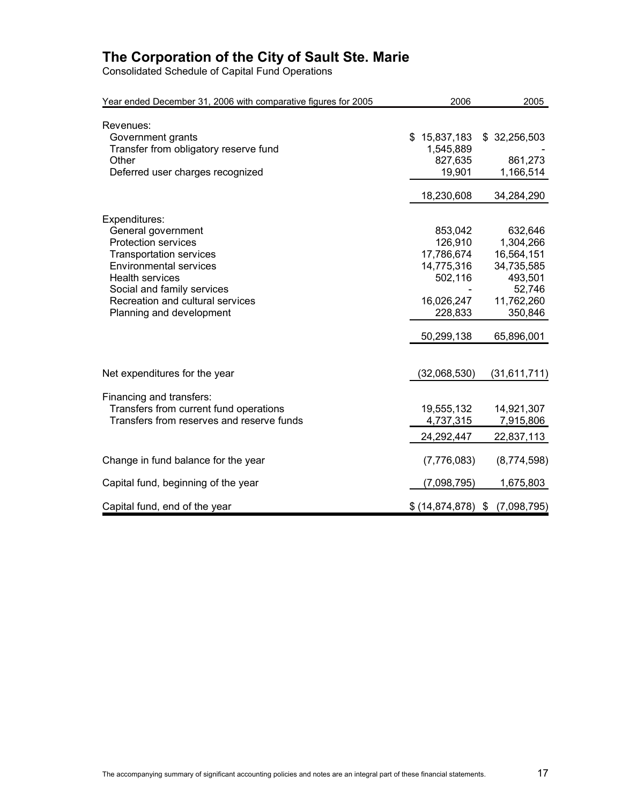Consolidated Schedule of Capital Fund Operations

| Year ended December 31, 2006 with comparative figures for 2005                                                                                                                                                                                               |                                                                                                  | 2006   | 2005                                                                                                         |
|--------------------------------------------------------------------------------------------------------------------------------------------------------------------------------------------------------------------------------------------------------------|--------------------------------------------------------------------------------------------------|--------|--------------------------------------------------------------------------------------------------------------|
| Revenues:<br>Government grants<br>Transfer from obligatory reserve fund<br>Other<br>Deferred user charges recognized                                                                                                                                         | \$15,837,183<br>1,545,889<br>827,635                                                             | 19,901 | \$32,256,503<br>861,273<br>1,166,514                                                                         |
|                                                                                                                                                                                                                                                              | 18,230,608                                                                                       |        | 34,284,290                                                                                                   |
| Expenditures:<br>General government<br><b>Protection services</b><br><b>Transportation services</b><br><b>Environmental services</b><br><b>Health services</b><br>Social and family services<br>Recreation and cultural services<br>Planning and development | 853,042<br>126,910<br>17,786,674<br>14,775,316<br>502,116<br>16,026,247<br>228,833<br>50,299,138 |        | 632,646<br>1,304,266<br>16,564,151<br>34,735,585<br>493,501<br>52,746<br>11,762,260<br>350,846<br>65,896,001 |
| Net expenditures for the year                                                                                                                                                                                                                                | (32,068,530)                                                                                     |        | (31, 611, 711)                                                                                               |
| Financing and transfers:<br>Transfers from current fund operations<br>Transfers from reserves and reserve funds                                                                                                                                              | 19,555,132<br>4,737,315<br>24,292,447                                                            |        | 14,921,307<br>7,915,806<br>22,837,113                                                                        |
| Change in fund balance for the year                                                                                                                                                                                                                          | (7,776,083)                                                                                      |        | (8,774,598)                                                                                                  |
| Capital fund, beginning of the year                                                                                                                                                                                                                          | (7,098,795)                                                                                      |        | 1,675,803                                                                                                    |
| Capital fund, end of the year                                                                                                                                                                                                                                | $$ (14,874,878)$ \$                                                                              |        | (7,098,795)                                                                                                  |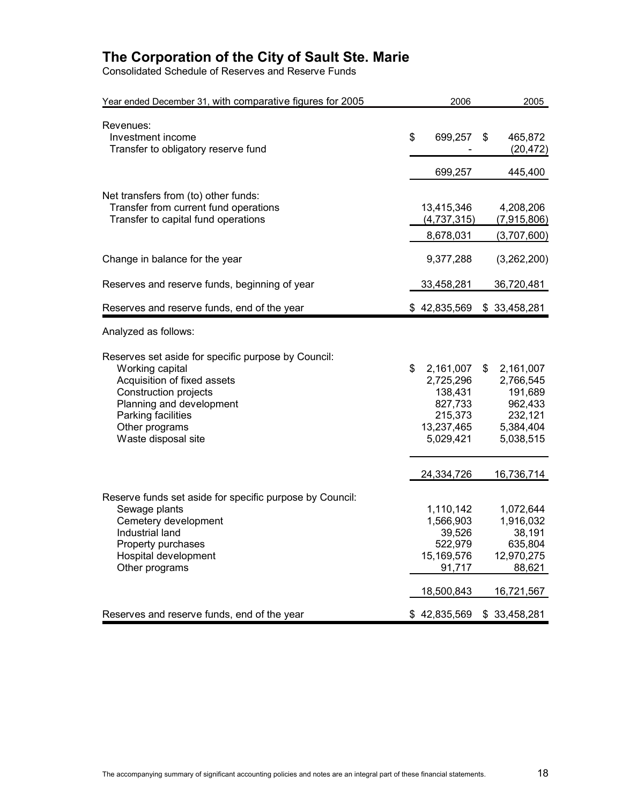Consolidated Schedule of Reserves and Reserve Funds

| Year ended December 31, with comparative figures for 2005                                                                                                                                                                        | 2006                                                                                     | 2005                                                                                    |
|----------------------------------------------------------------------------------------------------------------------------------------------------------------------------------------------------------------------------------|------------------------------------------------------------------------------------------|-----------------------------------------------------------------------------------------|
| Revenues:<br>Investment income<br>Transfer to obligatory reserve fund                                                                                                                                                            | \$<br>699,257                                                                            | \$<br>465,872<br>(20, 472)                                                              |
|                                                                                                                                                                                                                                  | 699,257                                                                                  | 445,400                                                                                 |
| Net transfers from (to) other funds:<br>Transfer from current fund operations<br>Transfer to capital fund operations                                                                                                             | 13,415,346<br>(4,737,315)<br>8,678,031                                                   | 4,208,206<br>(7,915,806)<br>(3,707,600)                                                 |
| Change in balance for the year                                                                                                                                                                                                   | 9,377,288                                                                                | (3,262,200)                                                                             |
| Reserves and reserve funds, beginning of year                                                                                                                                                                                    | 33,458,281                                                                               | 36,720,481                                                                              |
| Reserves and reserve funds, end of the year                                                                                                                                                                                      | \$42,835,569                                                                             | \$33,458,281                                                                            |
| Analyzed as follows:                                                                                                                                                                                                             |                                                                                          |                                                                                         |
| Reserves set aside for specific purpose by Council:<br>Working capital<br>Acquisition of fixed assets<br><b>Construction projects</b><br>Planning and development<br>Parking facilities<br>Other programs<br>Waste disposal site | \$<br>2,161,007<br>2,725,296<br>138,431<br>827,733<br>215,373<br>13,237,465<br>5,029,421 | \$<br>2,161,007<br>2,766,545<br>191,689<br>962,433<br>232,121<br>5,384,404<br>5,038,515 |
|                                                                                                                                                                                                                                  | 24,334,726                                                                               | 16,736,714                                                                              |
| Reserve funds set aside for specific purpose by Council:<br>Sewage plants<br>Cemetery development<br>Industrial land<br>Property purchases<br>Hospital development<br>Other programs                                             | 1,110,142<br>1,566,903<br>39,526<br>522,979<br>15,169,576<br>91,717<br>18,500,843        | 1,072,644<br>1,916,032<br>38,191<br>635,804<br>12,970,275<br>88,621<br>16,721,567       |
| Reserves and reserve funds, end of the year                                                                                                                                                                                      | \$42,835,569                                                                             | \$33,458,281                                                                            |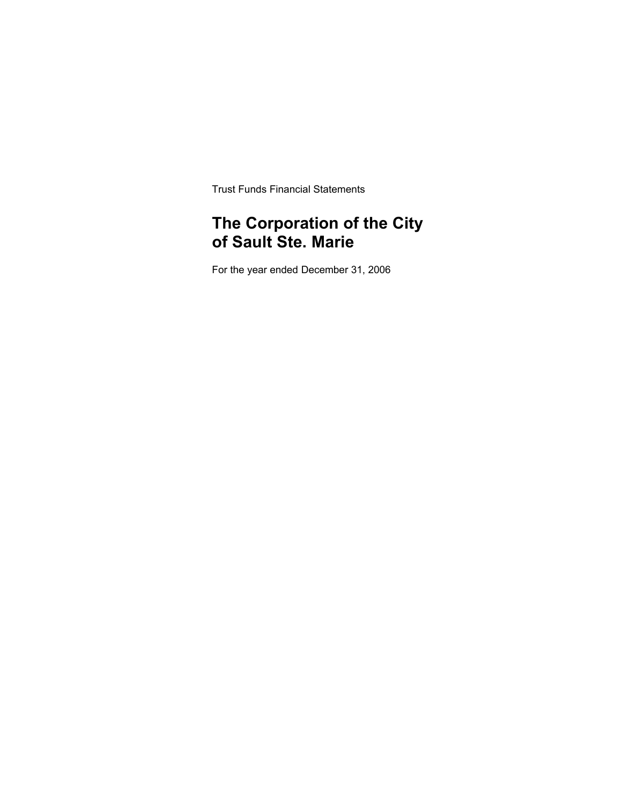Trust Funds Financial Statements

# **The Corporation of the City of Sault Ste. Marie**

For the year ended December 31, 2006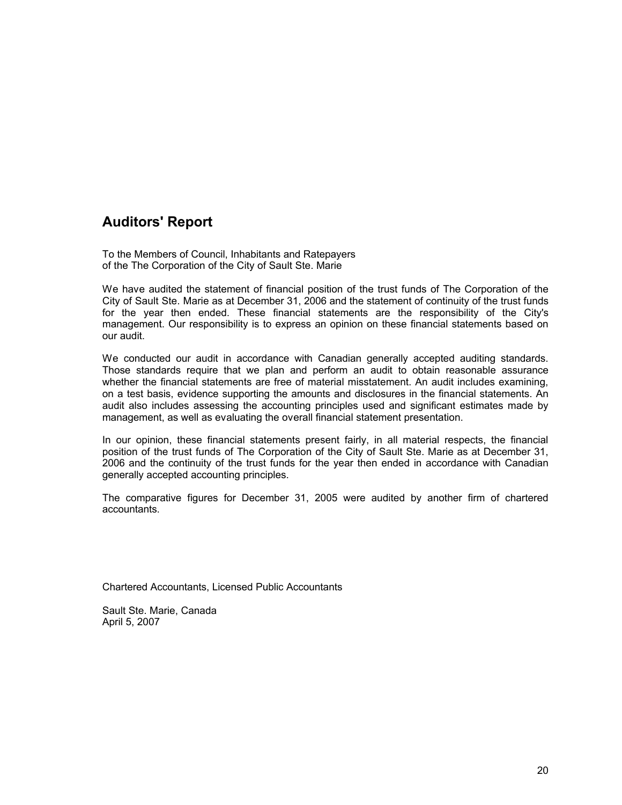# **Auditors' Report**

To the Members of Council, Inhabitants and Ratepayers of the The Corporation of the City of Sault Ste. Marie

We have audited the statement of financial position of the trust funds of The Corporation of the City of Sault Ste. Marie as at December 31, 2006 and the statement of continuity of the trust funds for the year then ended. These financial statements are the responsibility of the City's management. Our responsibility is to express an opinion on these financial statements based on our audit.

We conducted our audit in accordance with Canadian generally accepted auditing standards. Those standards require that we plan and perform an audit to obtain reasonable assurance whether the financial statements are free of material misstatement. An audit includes examining, on a test basis, evidence supporting the amounts and disclosures in the financial statements. An audit also includes assessing the accounting principles used and significant estimates made by management, as well as evaluating the overall financial statement presentation.

In our opinion, these financial statements present fairly, in all material respects, the financial position of the trust funds of The Corporation of the City of Sault Ste. Marie as at December 31, 2006 and the continuity of the trust funds for the year then ended in accordance with Canadian generally accepted accounting principles.

The comparative figures for December 31, 2005 were audited by another firm of chartered accountants.

Chartered Accountants, Licensed Public Accountants

Sault Ste. Marie, Canada April 5, 2007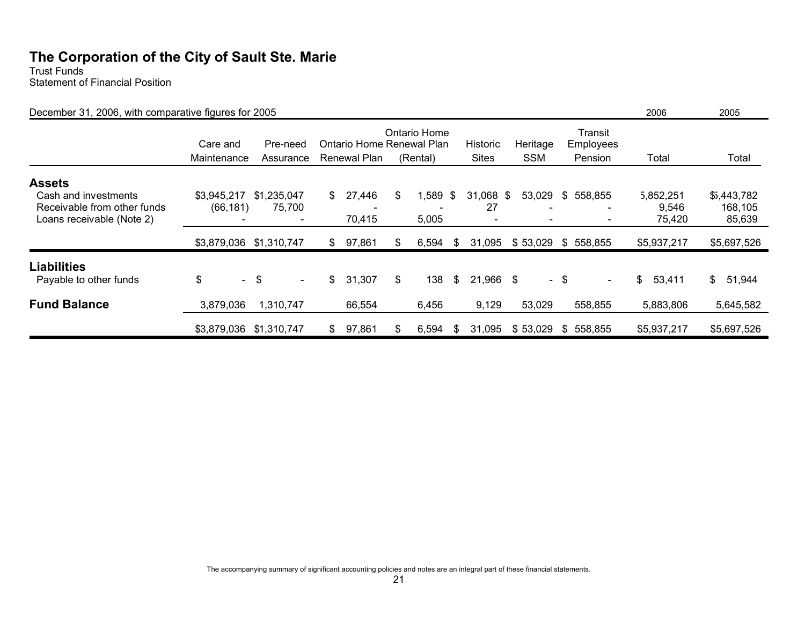Trust Funds Statement of Financial Position

| December 31, 2006, with comparative figures for 2005                                              |                          |                       |                |                                           |                          |      |                          |                        |      |                                        | 2006                         | 2005                             |
|---------------------------------------------------------------------------------------------------|--------------------------|-----------------------|----------------|-------------------------------------------|--------------------------|------|--------------------------|------------------------|------|----------------------------------------|------------------------------|----------------------------------|
|                                                                                                   | Care and<br>Maintenance  | Pre-need<br>Assurance |                | Ontario Home Renewal Plan<br>Renewal Plan | Ontario Home<br>(Rental) |      | Historic<br><b>Sites</b> | Heritage<br><b>SSM</b> |      | Transit<br><b>Employees</b><br>Pension | Total                        | Total                            |
| <b>Assets</b><br>Cash and investments<br>Receivable from other funds<br>Loans receivable (Note 2) | \$3,945,217<br>(66, 181) | \$1,235,047<br>75,700 | $\mathbb{S}^-$ | 27,446<br>70,415                          | \$<br>,589<br>5,005      | - \$ | 31,068<br>27             | 53,029<br>- \$         |      | \$558,855                              | 5,852,251<br>9,546<br>75,420 | \$5,443,782<br>168,105<br>85,639 |
|                                                                                                   | \$3,879,036              | \$1,310,747           | $\mathbb{S}$   | 97,861                                    | \$<br>6,594              | \$   | 31,095                   | \$53,029               | \$   | 558,855                                | \$5,937,217                  | \$5,697,526                      |
| <b>Liabilities</b><br>Payable to other funds                                                      | \$                       | $-$ \$<br>$\sim$      | \$             | 31,307                                    | \$<br>138                | \$   | 21,966                   | \$                     | - \$ | $\sim$                                 | \$<br>53,411                 | $\mathbb{S}$<br>51,944           |
| <b>Fund Balance</b>                                                                               | 3,879,036                | 1,310,747             |                | 66,554                                    | 6,456                    |      | 9,129                    | 53,029                 |      | 558,855                                | 5,883,806                    | 5,645,582                        |
|                                                                                                   | \$3,879,036              | \$1,310,747           | \$             | 97,861                                    | \$<br>6,594              | \$   | 31,095                   | \$53,029               | S.   | 558,855                                | \$5,937,217                  | \$5,697,526                      |

The accompanying summary of significant accounting policies and notes are an integral part of these financial statements.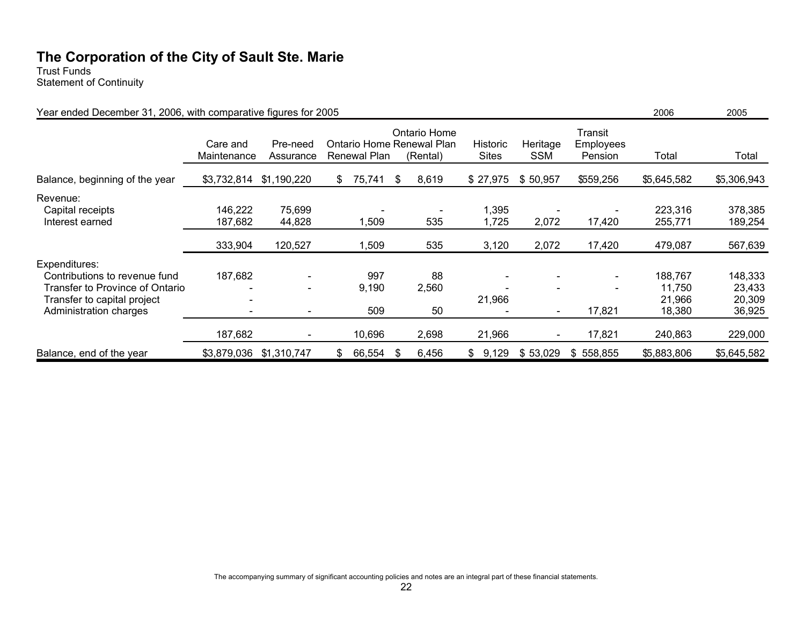Trust Funds Statement of Continuity

| Year ended December 31, 2006, with comparative figures for 2005                                                                            | 2006                    | 2005                                                                                           |                     |                   |                |                              |                                                      |                                       |                                       |
|--------------------------------------------------------------------------------------------------------------------------------------------|-------------------------|------------------------------------------------------------------------------------------------|---------------------|-------------------|----------------|------------------------------|------------------------------------------------------|---------------------------------------|---------------------------------------|
|                                                                                                                                            | Care and<br>Maintenance | Ontario Home<br>Ontario Home Renewal Plan<br>Pre-need<br>Renewal Plan<br>(Rental)<br>Assurance |                     |                   |                | Heritage<br><b>SSM</b>       | Transit<br>Employees<br>Pension                      | Total                                 | Total                                 |
| Balance, beginning of the year                                                                                                             | \$3,732,814             | \$1,190,220                                                                                    | 75,741<br>\$.       | 8,619<br>\$       | \$27,975       | \$50,957                     | \$559,256                                            | \$5,645,582                           | \$5,306,943                           |
| Revenue:<br>Capital receipts<br>Interest earned                                                                                            | 146,222<br>187,682      | 75,699<br>44,828                                                                               | 1,509               | 535               | 1,395<br>1,725 | 2,072                        | 17,420                                               | 223,316<br>255,771                    | 378,385<br>189,254                    |
|                                                                                                                                            | 333,904                 | 120,527                                                                                        | 1,509               | 535               | 3,120          | 2,072                        | 17,420                                               | 479,087                               | 567,639                               |
| Expenditures:<br>Contributions to revenue fund<br>Transfer to Province of Ontario<br>Transfer to capital project<br>Administration charges | 187,682                 |                                                                                                | 997<br>9,190<br>509 | 88<br>2,560<br>50 | 21,966         | $\qquad \qquad \blacksquare$ | $\blacksquare$<br>$\overline{\phantom{0}}$<br>17,821 | 188,767<br>11,750<br>21,966<br>18,380 | 148,333<br>23,433<br>20,309<br>36,925 |
|                                                                                                                                            | 187,682                 |                                                                                                | 10,696              | 2,698             | 21,966         |                              | 17,821                                               | 240,863                               | 229,000                               |
| Balance, end of the year                                                                                                                   | \$3,879,036             | \$1,310,747                                                                                    | 66,554<br>\$        | 6,456<br>\$       | \$9,129        | \$53,029                     | \$558,855                                            | \$5,883,806                           | \$5,645,582                           |

The accompanying summary of significant accounting policies and notes are an integral part of these financial statements.